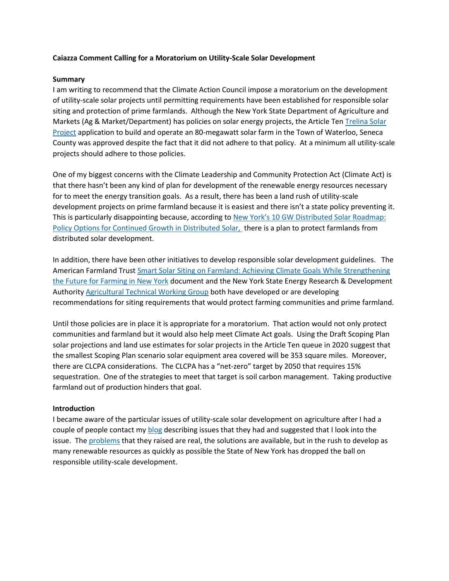## **Caiazza Comment Calling for a Moratorium on Utility-Scale Solar Development**

#### **Summary**

I am writing to recommend that the Climate Action Council impose a moratorium on the development of utility-scale solar projects until permitting requirements have been established for responsible solar siting and protection of prime farmlands. Although the New York State Department of Agriculture and Markets (Ag & Market/Department) has policies on solar energy projects, the Article Ten [Trelina Solar](https://www.trelinasolarenergycenter.com/)  [Project](https://www.trelinasolarenergycenter.com/) application to build and operate an 80-megawatt solar farm in the Town of Waterloo, Seneca County was approved despite the fact that it did not adhere to that policy. At a minimum all utility-scale projects should adhere to those policies.

One of my biggest concerns with the Climate Leadership and Community Protection Act (Climate Act) is that there hasn't been any kind of plan for development of the renewable energy resources necessary for to meet the energy transition goals. As a result, there has been a land rush of utility-scale development projects on prime farmland because it is easiest and there isn't a state policy preventing it. This is particularly disappointing because, according to New York's 10 GW [Distributed Solar Roadmap:](https://documents.dps.ny.gov/public/Common/ViewDoc.aspx?DocRefId=%7b4C42AAFF-0EB9-4890-AA0D-21C70B088F4B%7d)  [Policy Options for Continued Growth in Distributed Solar,](https://documents.dps.ny.gov/public/Common/ViewDoc.aspx?DocRefId=%7b4C42AAFF-0EB9-4890-AA0D-21C70B088F4B%7d) there is a plan to protect farmlands from distributed solar development.

In addition, there have been other initiatives to develop responsible solar development guidelines. The American Farmland Trust Smart Solar [Siting on Farmland: Achieving Climate Goals While Strengthening](https://farmlandinfo.org/publications/smart-solar-siting-in-new-york-report/)  [the Future for Farming in New York](https://farmlandinfo.org/publications/smart-solar-siting-in-new-york-report/) document and the New York State Energy Research & Development Authority [Agricultural Technical Working Group](https://www.nyatwg.com/) both have developed or are developing recommendations for siting requirements that would protect farming communities and prime farmland.

Until those policies are in place it is appropriate for a moratorium. That action would not only protect communities and farmland but it would also help meet Climate Act goals. Using the Draft Scoping Plan solar projections and land use estimates for solar projects in the Article Ten queue in 2020 suggest that the smallest Scoping Plan scenario solar equipment area covered will be 353 square miles. Moreover, there are CLCPA considerations. The CLCPA has a "net-zero" target by 2050 that requires 15% sequestration. One of the strategies to meet that target is soil carbon management. Taking productive farmland out of production hinders that goal.

#### **Introduction**

I became aware of the particular issues of utility-scale solar development on agriculture after I had a couple of people contact m[y blog](https://wp.me/P8hgeb-2) describing issues that they had and suggested that I look into the issue. The [problems](https://reformingtheenergyvisioninconvenienttruths.com/new-yorks-reforming-the-energy-vision-background-material/rev-solar-energy-issues-page/) that they raised are real, the solutions are available, but in the rush to develop as many renewable resources as quickly as possible the State of New York has dropped the ball on responsible utility-scale development.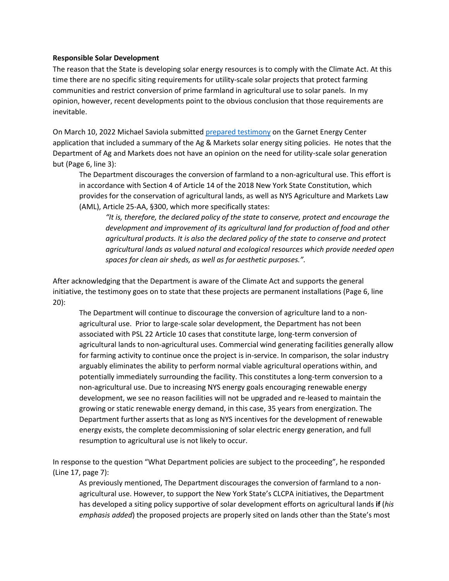## **Responsible Solar Development**

The reason that the State is developing solar energy resources is to comply with the Climate Act. At this time there are no specific siting requirements for utility-scale solar projects that protect farming communities and restrict conversion of prime farmland in agricultural use to solar panels. In my opinion, however, recent developments point to the obvious conclusion that those requirements are inevitable.

On March 10, 2022 Michael Saviola submitted [prepared testimony](https://pragmaticenvironmentalistofnewyork.files.wordpress.com/2022/03/saviola-testimony.pdf) on the Garnet Energy Center application that included a summary of the Ag & Markets solar energy siting policies. He notes that the Department of Ag and Markets does not have an opinion on the need for utility-scale solar generation but (Page 6, line 3):

The Department discourages the conversion of farmland to a non-agricultural use. This effort is in accordance with Section 4 of Article 14 of the 2018 New York State Constitution, which provides for the conservation of agricultural lands, as well as NYS Agriculture and Markets Law (AML), Article 25-AA, §300, which more specifically states:

*"It is, therefore, the declared policy of the state to conserve, protect and encourage the development and improvement of its agricultural land for production of food and other agricultural products. It is also the declared policy of the state to conserve and protect agricultural lands as valued natural and ecological resources which provide needed open spaces for clean air sheds, as well as for aesthetic purposes.".* 

After acknowledging that the Department is aware of the Climate Act and supports the general initiative, the testimony goes on to state that these projects are permanent installations (Page 6, line 20):

The Department will continue to discourage the conversion of agriculture land to a nonagricultural use. Prior to large-scale solar development, the Department has not been associated with PSL 22 Article 10 cases that constitute large, long-term conversion of agricultural lands to non-agricultural uses. Commercial wind generating facilities generally allow for farming activity to continue once the project is in-service. In comparison, the solar industry arguably eliminates the ability to perform normal viable agricultural operations within, and potentially immediately surrounding the facility. This constitutes a long-term conversion to a non-agricultural use. Due to increasing NYS energy goals encouraging renewable energy development, we see no reason facilities will not be upgraded and re-leased to maintain the growing or static renewable energy demand, in this case, 35 years from energization. The Department further asserts that as long as NYS incentives for the development of renewable energy exists, the complete decommissioning of solar electric energy generation, and full resumption to agricultural use is not likely to occur.

In response to the question "What Department policies are subject to the proceeding", he responded (Line 17, page 7):

As previously mentioned, The Department discourages the conversion of farmland to a nonagricultural use. However, to support the New York State's CLCPA initiatives, the Department has developed a siting policy supportive of solar development efforts on agricultural lands **if** (*his emphasis added*) the proposed projects are properly sited on lands other than the State's most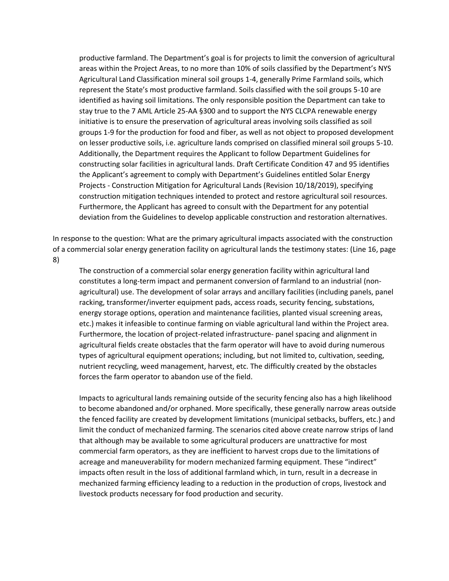productive farmland. The Department's goal is for projects to limit the conversion of agricultural areas within the Project Areas, to no more than 10% of soils classified by the Department's NYS Agricultural Land Classification mineral soil groups 1-4, generally Prime Farmland soils, which represent the State's most productive farmland. Soils classified with the soil groups 5-10 are identified as having soil limitations. The only responsible position the Department can take to stay true to the 7 AML Article 25-AA §300 and to support the NYS CLCPA renewable energy initiative is to ensure the preservation of agricultural areas involving soils classified as soil groups 1-9 for the production for food and fiber, as well as not object to proposed development on lesser productive soils, i.e. agriculture lands comprised on classified mineral soil groups 5-10. Additionally, the Department requires the Applicant to follow Department Guidelines for constructing solar facilities in agricultural lands. Draft Certificate Condition 47 and 95 identifies the Applicant's agreement to comply with Department's Guidelines entitled Solar Energy Projects - Construction Mitigation for Agricultural Lands (Revision 10/18/2019), specifying construction mitigation techniques intended to protect and restore agricultural soil resources. Furthermore, the Applicant has agreed to consult with the Department for any potential deviation from the Guidelines to develop applicable construction and restoration alternatives.

In response to the question: What are the primary agricultural impacts associated with the construction of a commercial solar energy generation facility on agricultural lands the testimony states: (Line 16, page 8)

The construction of a commercial solar energy generation facility within agricultural land constitutes a long-term impact and permanent conversion of farmland to an industrial (nonagricultural) use. The development of solar arrays and ancillary facilities (including panels, panel racking, transformer/inverter equipment pads, access roads, security fencing, substations, energy storage options, operation and maintenance facilities, planted visual screening areas, etc.) makes it infeasible to continue farming on viable agricultural land within the Project area. Furthermore, the location of project-related infrastructure- panel spacing and alignment in agricultural fields create obstacles that the farm operator will have to avoid during numerous types of agricultural equipment operations; including, but not limited to, cultivation, seeding, nutrient recycling, weed management, harvest, etc. The difficultly created by the obstacles forces the farm operator to abandon use of the field.

Impacts to agricultural lands remaining outside of the security fencing also has a high likelihood to become abandoned and/or orphaned. More specifically, these generally narrow areas outside the fenced facility are created by development limitations (municipal setbacks, buffers, etc.) and limit the conduct of mechanized farming. The scenarios cited above create narrow strips of land that although may be available to some agricultural producers are unattractive for most commercial farm operators, as they are inefficient to harvest crops due to the limitations of acreage and maneuverability for modern mechanized farming equipment. These "indirect" impacts often result in the loss of additional farmland which, in turn, result in a decrease in mechanized farming efficiency leading to a reduction in the production of crops, livestock and livestock products necessary for food production and security.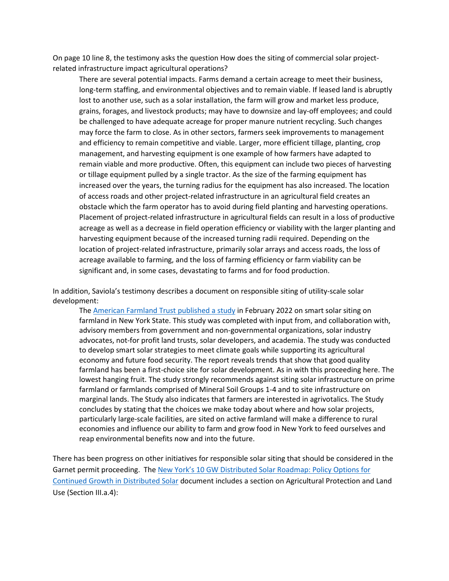On page 10 line 8, the testimony asks the question How does the siting of commercial solar projectrelated infrastructure impact agricultural operations?

There are several potential impacts. Farms demand a certain acreage to meet their business, long-term staffing, and environmental objectives and to remain viable. If leased land is abruptly lost to another use, such as a solar installation, the farm will grow and market less produce, grains, forages, and livestock products; may have to downsize and lay-off employees; and could be challenged to have adequate acreage for proper manure nutrient recycling. Such changes may force the farm to close. As in other sectors, farmers seek improvements to management and efficiency to remain competitive and viable. Larger, more efficient tillage, planting, crop management, and harvesting equipment is one example of how farmers have adapted to remain viable and more productive. Often, this equipment can include two pieces of harvesting or tillage equipment pulled by a single tractor. As the size of the farming equipment has increased over the years, the turning radius for the equipment has also increased. The location of access roads and other project-related infrastructure in an agricultural field creates an obstacle which the farm operator has to avoid during field planting and harvesting operations. Placement of project-related infrastructure in agricultural fields can result in a loss of productive acreage as well as a decrease in field operation efficiency or viability with the larger planting and harvesting equipment because of the increased turning radii required. Depending on the location of project-related infrastructure, primarily solar arrays and access roads, the loss of acreage available to farming, and the loss of farming efficiency or farm viability can be significant and, in some cases, devastating to farms and for food production.

In addition, Saviola's testimony describes a document on responsible siting of utility-scale solar development:

The [American Farmland Trust published a study](https://farmlandinfo.org/publications/smart-solar-siting-in-new-york-report/) in February 2022 on smart solar siting on farmland in New York State. This study was completed with input from, and collaboration with, advisory members from government and non-governmental organizations, solar industry advocates, not-for profit land trusts, solar developers, and academia. The study was conducted to develop smart solar strategies to meet climate goals while supporting its agricultural economy and future food security. The report reveals trends that show that good quality farmland has been a first-choice site for solar development. As in with this proceeding here. The lowest hanging fruit. The study strongly recommends against siting solar infrastructure on prime farmland or farmlands comprised of Mineral Soil Groups 1-4 and to site infrastructure on marginal lands. The Study also indicates that farmers are interested in agrivotalics. The Study concludes by stating that the choices we make today about where and how solar projects, particularly large-scale facilities, are sited on active farmland will make a difference to rural economies and influence our ability to farm and grow food in New York to feed ourselves and reap environmental benefits now and into the future.

There has been progress on other initiatives for responsible solar siting that should be considered in the Garnet permit proceeding. The New York's 10 GW [Distributed Solar Roadmap: Policy Options for](https://documents.dps.ny.gov/public/Common/ViewDoc.aspx?DocRefId=%7b4C42AAFF-0EB9-4890-AA0D-21C70B088F4B%7d)  [Continued Growth in Distributed Solar](https://documents.dps.ny.gov/public/Common/ViewDoc.aspx?DocRefId=%7b4C42AAFF-0EB9-4890-AA0D-21C70B088F4B%7d) document includes a section on Agricultural Protection and Land Use (Section III.a.4):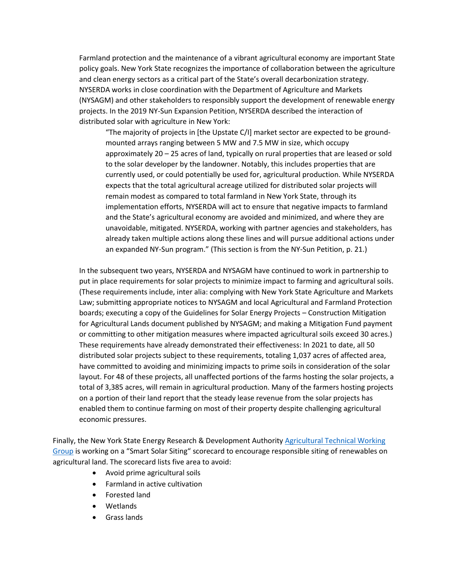Farmland protection and the maintenance of a vibrant agricultural economy are important State policy goals. New York State recognizes the importance of collaboration between the agriculture and clean energy sectors as a critical part of the State's overall decarbonization strategy. NYSERDA works in close coordination with the Department of Agriculture and Markets (NYSAGM) and other stakeholders to responsibly support the development of renewable energy projects. In the 2019 NY-Sun Expansion Petition, NYSERDA described the interaction of distributed solar with agriculture in New York:

"The majority of projects in [the Upstate C/I] market sector are expected to be groundmounted arrays ranging between 5 MW and 7.5 MW in size, which occupy approximately 20 – 25 acres of land, typically on rural properties that are leased or sold to the solar developer by the landowner. Notably, this includes properties that are currently used, or could potentially be used for, agricultural production. While NYSERDA expects that the total agricultural acreage utilized for distributed solar projects will remain modest as compared to total farmland in New York State, through its implementation efforts, NYSERDA will act to ensure that negative impacts to farmland and the State's agricultural economy are avoided and minimized, and where they are unavoidable, mitigated. NYSERDA, working with partner agencies and stakeholders, has already taken multiple actions along these lines and will pursue additional actions under an expanded NY-Sun program." (This section is from the NY-Sun Petition, p. 21.)

In the subsequent two years, NYSERDA and NYSAGM have continued to work in partnership to put in place requirements for solar projects to minimize impact to farming and agricultural soils. (These requirements include, inter alia: complying with New York State Agriculture and Markets Law; submitting appropriate notices to NYSAGM and local Agricultural and Farmland Protection boards; executing a copy of the Guidelines for Solar Energy Projects – Construction Mitigation for Agricultural Lands document published by NYSAGM; and making a Mitigation Fund payment or committing to other mitigation measures where impacted agricultural soils exceed 30 acres.) These requirements have already demonstrated their effectiveness: In 2021 to date, all 50 distributed solar projects subject to these requirements, totaling 1,037 acres of affected area, have committed to avoiding and minimizing impacts to prime soils in consideration of the solar layout. For 48 of these projects, all unaffected portions of the farms hosting the solar projects, a total of 3,385 acres, will remain in agricultural production. Many of the farmers hosting projects on a portion of their land report that the steady lease revenue from the solar projects has enabled them to continue farming on most of their property despite challenging agricultural economic pressures.

Finally, the New York State Energy Research & Development Authorit[y Agricultural Technical Working](https://www.nyatwg.com/)  [Group](https://www.nyatwg.com/) is working on a "Smart Solar Siting" scorecard to encourage responsible siting of renewables on agricultural land. The scorecard lists five area to avoid:

- Avoid prime agricultural soils
- Farmland in active cultivation
- Forested land
- Wetlands
- Grass lands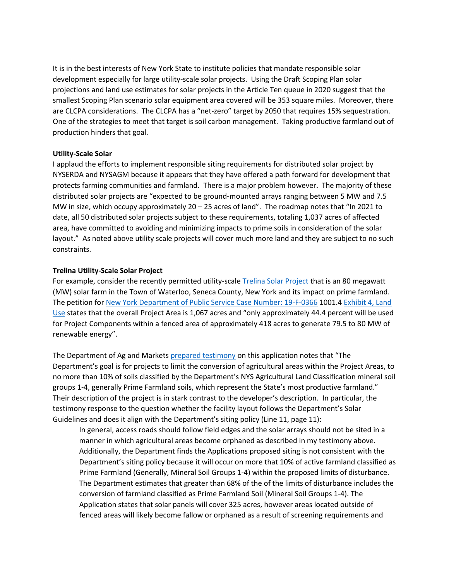It is in the best interests of New York State to institute policies that mandate responsible solar development especially for large utility-scale solar projects. Using the Draft Scoping Plan solar projections and land use estimates for solar projects in the Article Ten queue in 2020 suggest that the smallest Scoping Plan scenario solar equipment area covered will be 353 square miles. Moreover, there are CLCPA considerations. The CLCPA has a "net-zero" target by 2050 that requires 15% sequestration. One of the strategies to meet that target is soil carbon management. Taking productive farmland out of production hinders that goal.

## **Utility-Scale Solar**

I applaud the efforts to implement responsible siting requirements for distributed solar project by NYSERDA and NYSAGM because it appears that they have offered a path forward for development that protects farming communities and farmland. There is a major problem however. The majority of these distributed solar projects are "expected to be ground-mounted arrays ranging between 5 MW and 7.5 MW in size, which occupy approximately  $20 - 25$  acres of land". The roadmap notes that "In 2021 to date, all 50 distributed solar projects subject to these requirements, totaling 1,037 acres of affected area, have committed to avoiding and minimizing impacts to prime soils in consideration of the solar layout." As noted above utility scale projects will cover much more land and they are subject to no such constraints.

# **Trelina Utility-Scale Solar Project**

For example, consider the recently permitted utility-scal[e Trelina Solar Project](https://www.trelinasolarenergycenter.com/) that is an 80 megawatt (MW) solar farm in the Town of Waterloo, Seneca County, New York and its impact on prime farmland. The petition for [New York Department of Public Service Case Number: 19-F-0366](https://documents.dps.ny.gov/public/MatterManagement/CaseMaster.aspx?MatterSeq=59765&MNO=19-F-0366) 1001.4 Exhibit 4, Land [Use](https://pragmaticenvironmentalistofnewyork.files.wordpress.com/2021/12/trelina-exhibit-4-land-use.pdf) states that the overall Project Area is 1,067 acres and "only approximately 44.4 percent will be used for Project Components within a fenced area of approximately 418 acres to generate 79.5 to 80 MW of renewable energy".

The Department of Ag and Market[s prepared testimony](https://pragmaticenvironmentalistofnewyork.files.wordpress.com/2021/12/trelina-ag-markets-testimony.pdf) on this application notes that "The Department's goal is for projects to limit the conversion of agricultural areas within the Project Areas, to no more than 10% of soils classified by the Department's NYS Agricultural Land Classification mineral soil groups 1-4, generally Prime Farmland soils, which represent the State's most productive farmland." Their description of the project is in stark contrast to the developer's description. In particular, the testimony response to the question whether the facility layout follows the Department's Solar Guidelines and does it align with the Department's siting policy (Line 11, page 11):

In general, access roads should follow field edges and the solar arrays should not be sited in a manner in which agricultural areas become orphaned as described in my testimony above. Additionally, the Department finds the Applications proposed siting is not consistent with the Department's siting policy because it will occur on more that 10% of active farmland classified as Prime Farmland (Generally, Mineral Soil Groups 1-4) within the proposed limits of disturbance. The Department estimates that greater than 68% of the of the limits of disturbance includes the conversion of farmland classified as Prime Farmland Soil (Mineral Soil Groups 1-4). The Application states that solar panels will cover 325 acres, however areas located outside of fenced areas will likely become fallow or orphaned as a result of screening requirements and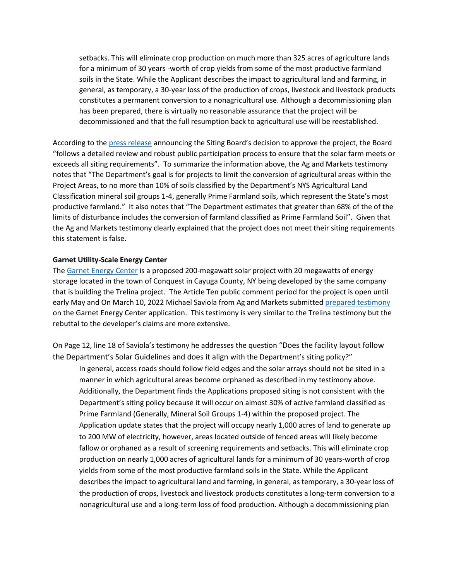setbacks. This will eliminate crop production on much more than 325 acres of agriculture lands for a minimum of 30 years -worth of crop yields from some of the most productive farmland soils in the State. While the Applicant describes the impact to agricultural land and farming, in general, as temporary, a 30-year loss of the production of crops, livestock and livestock products constitutes a permanent conversion to a nonagricultural use. Although a decommissioning plan has been prepared, there is virtually no reasonable assurance that the project will be decommissioned and that the full resumption back to agricultural use will be reestablished.

According to th[e press release](https://pragmaticenvironmentalistofnewyork.files.wordpress.com/2021/12/trelina-press-release.pdf) announcing the Siting Board's decision to approve the project, the Board "follows a detailed review and robust public participation process to ensure that the solar farm meets or exceeds all siting requirements". To summarize the information above, the Ag and Markets testimony notes that "The Department's goal is for projects to limit the conversion of agricultural areas within the Project Areas, to no more than 10% of soils classified by the Department's NYS Agricultural Land Classification mineral soil groups 1-4, generally Prime Farmland soils, which represent the State's most productive farmland." It also notes that "The Department estimates that greater than 68% of the of the limits of disturbance includes the conversion of farmland classified as Prime Farmland Soil". Given that the Ag and Markets testimony clearly explained that the project does not meet their siting requirements this statement is false.

## **Garnet Utility-Scale Energy Center**

The [Garnet Energy Center](https://www.garnetenergycenter.com/about-nextera-energy-resources) is a proposed 200-megawatt solar project with 20 megawatts of energy storage located in the town of Conquest in Cayuga County, NY being developed by the same company that is building the Trelina project. The Article Ten public comment period for the project is open until early May and On March 10, 2022 Michael Saviola from Ag and Markets submitte[d prepared testimony](https://pragmaticenvironmentalistofnewyork.files.wordpress.com/2022/03/saviola-testimony.pdf) on the Garnet Energy Center application. This testimony is very similar to the Trelina testimony but the rebuttal to the developer's claims are more extensive.

On Page 12, line 18 of Saviola's testimony he addresses the question "Does the facility layout follow the Department's Solar Guidelines and does it align with the Department's siting policy?"

In general, access roads should follow field edges and the solar arrays should not be sited in a manner in which agricultural areas become orphaned as described in my testimony above. Additionally, the Department finds the Applications proposed siting is not consistent with the Department's siting policy because it will occur on almost 30% of active farmland classified as Prime Farmland (Generally, Mineral Soil Groups 1-4) within the proposed project. The Application update states that the project will occupy nearly 1,000 acres of land to generate up to 200 MW of electricity, however, areas located outside of fenced areas will likely become fallow or orphaned as a result of screening requirements and setbacks. This will eliminate crop production on nearly 1,000 acres of agricultural lands for a minimum of 30 years-worth of crop yields from some of the most productive farmland soils in the State. While the Applicant describes the impact to agricultural land and farming, in general, as temporary, a 30-year loss of the production of crops, livestock and livestock products constitutes a long-term conversion to a nonagricultural use and a long-term loss of food production. Although a decommissioning plan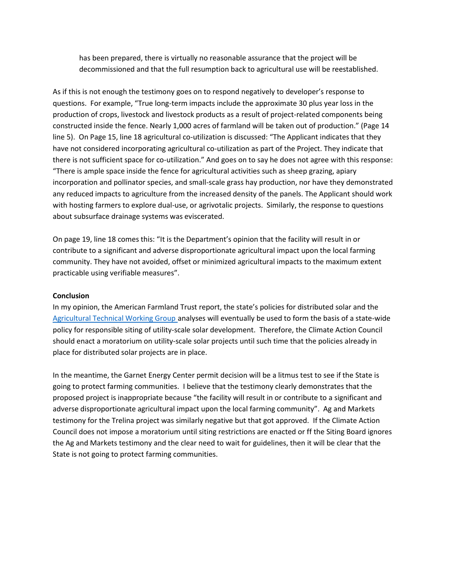has been prepared, there is virtually no reasonable assurance that the project will be decommissioned and that the full resumption back to agricultural use will be reestablished.

As if this is not enough the testimony goes on to respond negatively to developer's response to questions. For example, "True long-term impacts include the approximate 30 plus year loss in the production of crops, livestock and livestock products as a result of project-related components being constructed inside the fence. Nearly 1,000 acres of farmland will be taken out of production." (Page 14 line 5). On Page 15, line 18 agricultural co-utilization is discussed: "The Applicant indicates that they have not considered incorporating agricultural co-utilization as part of the Project. They indicate that there is not sufficient space for co-utilization." And goes on to say he does not agree with this response: "There is ample space inside the fence for agricultural activities such as sheep grazing, apiary incorporation and pollinator species, and small-scale grass hay production, nor have they demonstrated any reduced impacts to agriculture from the increased density of the panels. The Applicant should work with hosting farmers to explore dual-use, or agrivotalic projects. Similarly, the response to questions about subsurface drainage systems was eviscerated.

On page 19, line 18 comes this: "It is the Department's opinion that the facility will result in or contribute to a significant and adverse disproportionate agricultural impact upon the local farming community. They have not avoided, offset or minimized agricultural impacts to the maximum extent practicable using verifiable measures".

#### **Conclusion**

In my opinion, the American Farmland Trust report, the state's policies for distributed solar and the [Agricultural Technical Working Group](https://www.nyatwg.com/) analyses will eventually be used to form the basis of a state-wide policy for responsible siting of utility-scale solar development. Therefore, the Climate Action Council should enact a moratorium on utility-scale solar projects until such time that the policies already in place for distributed solar projects are in place.

In the meantime, the Garnet Energy Center permit decision will be a litmus test to see if the State is going to protect farming communities. I believe that the testimony clearly demonstrates that the proposed project is inappropriate because "the facility will result in or contribute to a significant and adverse disproportionate agricultural impact upon the local farming community". Ag and Markets testimony for the Trelina project was similarly negative but that got approved. If the Climate Action Council does not impose a moratorium until siting restrictions are enacted or ff the Siting Board ignores the Ag and Markets testimony and the clear need to wait for guidelines, then it will be clear that the State is not going to protect farming communities.